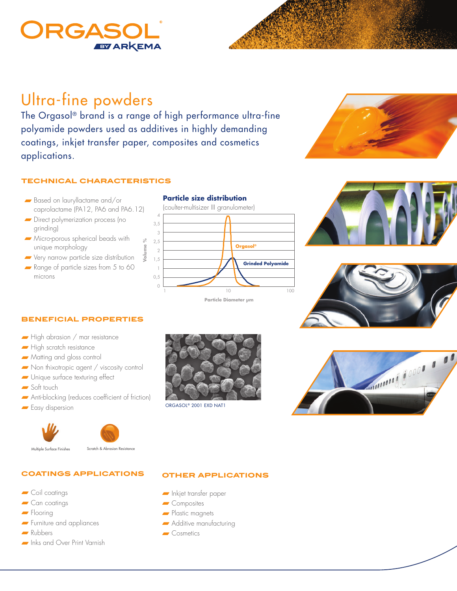## RGAS **EYARKEMA**

# Ultra-fine powders

The Orgasol® brand is a range of high performance ultra-fine polyamide powders used as additives in highly demanding coatings, inkjet transfer paper, composites and cosmetics applications.

#### **technical characteristics**

- Based on lauryllactame and/or caprolactame (PA12, PA6 and PA6.12)
- Direct polymerization process (no grinding)
- Micro-porous spherical beads with unique morphology
- Very narrow particle size distribution
- Range of particle sizes from 5 to 60 microns









#### **beneficial properties**

- High abrasion / mar resistance
- High scratch resistance
- Matting and gloss control
- Non thixotropic agent / viscosity control
- Unique surface texturing effect
- Soft touch
- Anti-blocking (reduces coefficient of friction)
- Easy dispersion







Multiple Surface Finishes Scratch & Abrasion Resistance

### **coatings applications**

- Coil coatings
- Can coatings
- Flooring
- Furniture and appliances
- Rubbers
- Inks and Over Print Varnish



ORGASOL® 2001 EXD NAT1



#### **other applications**

- Inkjet transfer paper
- Composites
- Plastic magnets
- Additive manufacturing
- Cosmetics